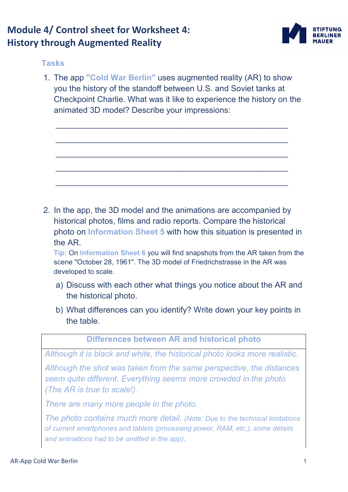## **Module 4/ Control sheet for Worksheet 4: History through Augmented Reality**



## **Tasks**

1. The app **"Cold War Berlin"** uses augmented reality (AR) to show you the history of the standoff between U.S. and Soviet tanks at Checkpoint Charlie. What was it like to experience the history on the animated 3D model? Describe your impressions:

\_\_\_\_\_\_\_\_\_\_\_\_\_\_\_\_\_\_\_\_\_\_\_\_\_\_\_\_\_\_\_\_\_\_\_\_\_\_\_\_\_\_\_\_\_\_\_\_\_\_\_

\_\_\_\_\_\_\_\_\_\_\_\_\_\_\_\_\_\_\_\_\_\_\_\_\_\_\_\_\_\_\_\_\_\_\_\_\_\_\_\_\_\_\_\_\_\_\_\_\_\_\_

 $\mathcal{L}_\text{max}$  , and the contract of the contract of the contract of the contract of the contract of the contract of the contract of the contract of the contract of the contract of the contract of the contract of the contr

\_\_\_\_\_\_\_\_\_\_\_\_\_\_\_\_\_\_\_\_\_\_\_\_\_\_\_\_\_\_\_\_\_\_\_\_\_\_\_\_\_\_\_\_\_\_\_\_\_\_\_

\_\_\_\_\_\_\_\_\_\_\_\_\_\_\_\_\_\_\_\_\_\_\_\_\_\_\_\_\_\_\_\_\_\_\_\_\_\_\_\_\_\_\_\_\_\_\_\_\_\_\_

2. In the app, the 3D model and the animations are accompanied by historical photos, films and radio reports. Compare the historical photo on **Information Sheet 5** with how this situation is presented in the AR.

**Tip:** On **Information Sheet 6** you will find snapshots from the AR taken from the scene "October 28, 1961". The 3D model of Friedrichstrasse in the AR was developed to scale.

- a) Discuss with each other what things you notice about the AR and the historical photo.
- b) What differences can you identify? Write down your key points in the table.

**Differences between AR and historical photo** 

*Although it is black and white, the historical photo looks more realistic.* 

*Although the shot was taken from the same perspective, the distances seem quite different. Everything seems more crowded in the photo (The AR is true to scale!).* 

*There are many more people in the photo.* 

*The photo contains much more detail. (Note: Due to the technical limitations of current smartphones and tablets (processing power, RAM, etc.), some details and animations had to be omitted in the app).*